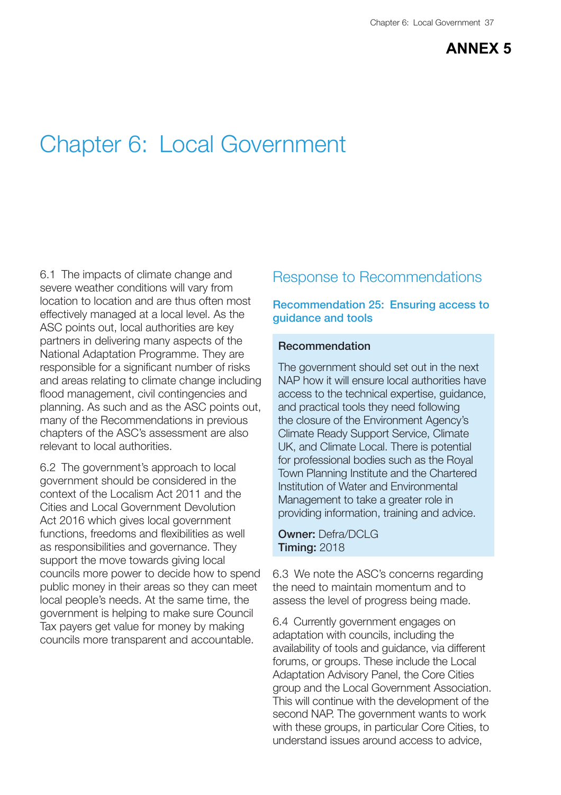# **ANNEX 5**

# Chapter 6: Local Government

6.1 The impacts of climate change and severe weather conditions will vary from location to location and are thus often most effectively managed at a local level. As the ASC points out, local authorities are key partners in delivering many aspects of the National Adaptation Programme. They are responsible for a significant number of risks and areas relating to climate change including flood management, civil contingencies and planning. As such and as the ASC points out, many of the Recommendations in previous chapters of the ASC's assessment are also relevant to local authorities.

6.2 The government's approach to local government should be considered in the context of the Localism Act 2011 and the Cities and Local Government Devolution Act 2016 which gives local government functions, freedoms and flexibilities as well as responsibilities and governance. They support the move towards giving local councils more power to decide how to spend public money in their areas so they can meet local people's needs. At the same time, the government is helping to make sure Council Tax payers get value for money by making councils more transparent and accountable.

# Response to Recommendations

# **Recommendation 25: Ensuring access to guidance and tools**

## **Recommendation**

The government should set out in the next NAP how it will ensure local authorities have access to the technical expertise, guidance, and practical tools they need following the closure of the Environment Agency's Climate Ready Support Service, Climate UK, and Climate Local. There is potential for professional bodies such as the Royal Town Planning Institute and the Chartered Institution of Water and Environmental Management to take a greater role in providing information, training and advice.

#### **Owner:** Defra/DCLG **Timing:** 2018

6.3 We note the ASC's concerns regarding the need to maintain momentum and to assess the level of progress being made.

6.4 Currently government engages on adaptation with councils, including the availability of tools and guidance, via different forums, or groups. These include the Local Adaptation Advisory Panel, the Core Cities group and the Local Government Association. This will continue with the development of the second NAP. The government wants to work with these groups, in particular Core Cities, to understand issues around access to advice,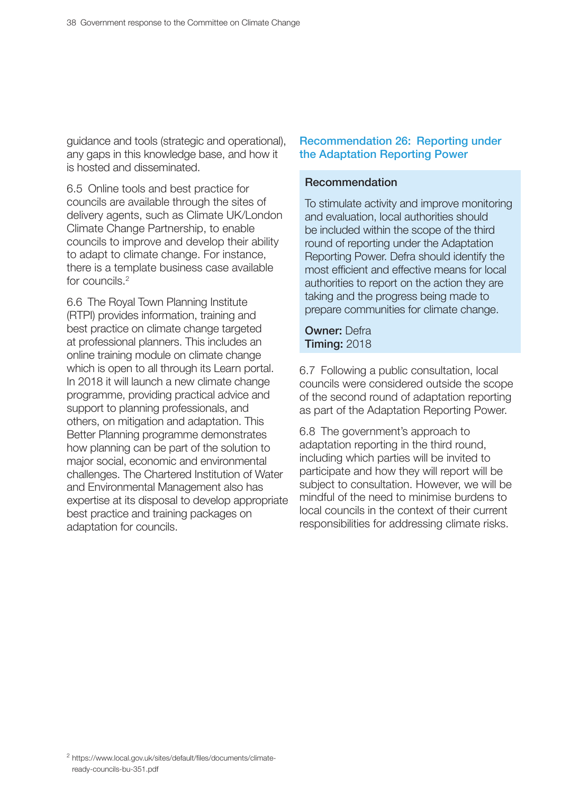guidance and tools (strategic and operational), any gaps in this knowledge base, and how it is hosted and disseminated.

6.5 Online tools and best practice for councils are available through the sites of delivery agents, such as Climate UK/London Climate Change Partnership, to enable councils to improve and develop their ability to adapt to climate change. For instance, there is a template business case available for councils.2

6.6 The Royal Town Planning Institute (RTPI) provides information, training and best practice on climate change targeted at professional planners. This includes an online training module on climate change which is open to all through its Learn portal. In 2018 it will launch a new climate change programme, providing practical advice and support to planning professionals, and others, on mitigation and adaptation. This Better Planning programme demonstrates how planning can be part of the solution to major social, economic and environmental challenges. The Chartered Institution of Water and Environmental Management also has expertise at its disposal to develop appropriate best practice and training packages on adaptation for councils.

### Recommendation 26: Reporting under the Adaptation Reporting Power

#### Recommendation

To stimulate activity and improve monitoring and evaluation, local authorities should be included within the scope of the third round of reporting under the Adaptation Reporting Power. Defra should identify the most efficient and effective means for local authorities to report on the action they are taking and the progress being made to prepare communities for climate change.

**Owner: Defra Timing: 2018** 

6.7 Following a public consultation, local councils were considered outside the scope of the second round of adaptation reporting as part of the Adaptation Reporting Power.

6.8 The government's approach to adaptation reporting in the third round, including which parties will be invited to participate and how they will report will be subject to consultation. However, we will be mindful of the need to minimise burdens to local councils in the context of their current responsibilities for addressing climate risks.

 $2$  https://www.local.gov.uk/sites/default/files/documents/climateready-councils-bu-351.pdf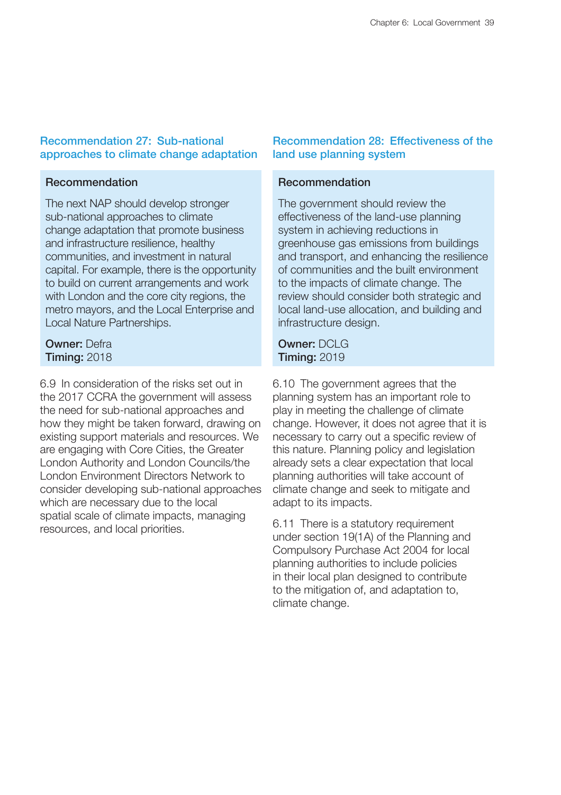# Recommendation 27: Sub-national approaches to climate change adaptation

## Recommendation

The next NAP should develop stronger sub-national approaches to climate change adaptation that promote business and infrastructure resilience, healthy communities, and investment in natural capital. For example, there is the opportunity to build on current arrangements and work with London and the core city regions, the metro mayors, and the Local Enterprise and Local Nature Partnerships.

# Owner: Defra **Timing: 2018**

6.9 In consideration of the risks set out in the 2017 CCRA the government will assess the need for sub-national approaches and how they might be taken forward, drawing on existing support materials and resources. We are engaging with Core Cities, the Greater London Authority and London Councils/the London Environment Directors Network to consider developing sub-national approaches which are necessary due to the local spatial scale of climate impacts, managing resources, and local priorities.

# **Becommendation 28: Effectiveness of the** land use planning system

# Recommendation

The government should review the effectiveness of the land-use planning system in achieving reductions in greenhouse gas emissions from buildings and transport, and enhancing the resilience of communities and the built environment to the impacts of climate change. The review should consider both strategic and local land-use allocation, and building and infrastructure design.

# Owner: DCLG **Timing: 2019**

6.10 The government agrees that the planning system has an important role to play in meeting the challenge of climate change. However, it does not agree that it is necessary to carry out a specific review of this nature. Planning policy and legislation already sets a clear expectation that local planning authorities will take account of climate change and seek to mitigate and adapt to its impacts.

6.11 There is a statutory requirement under section 19(1A) of the Planning and Compulsory Purchase Act 2004 for local planning authorities to include policies in their local plan designed to contribute to the mitigation of, and adaptation to, climate change.